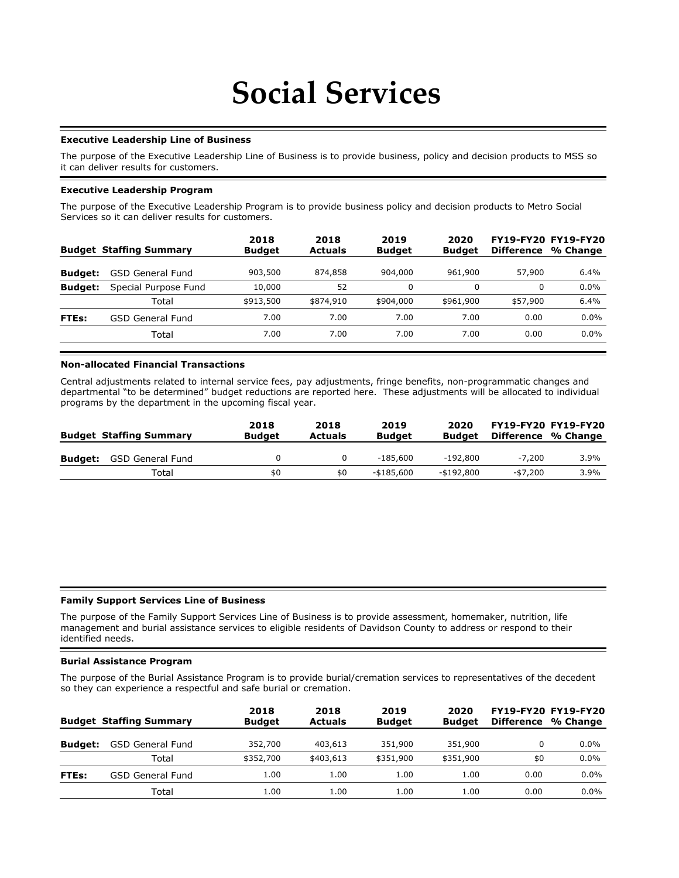# **Social Services**

#### **Executive Leadership Line of Business**

The purpose of the Executive Leadership Line of Business is to provide business, policy and decision products to MSS so it can deliver results for customers.

#### **Executive Leadership Program**

The purpose of the Executive Leadership Program is to provide business policy and decision products to Metro Social Services so it can deliver results for customers.

| <b>Budget Staffing Summary</b> | 2018<br><b>Budget</b> | 2018<br><b>Actuals</b> | 2019<br><b>Budget</b> | 2020<br><b>Budget</b> | <b>Difference</b> | <b>FY19-FY20 FY19-FY20</b><br>% Change |
|--------------------------------|-----------------------|------------------------|-----------------------|-----------------------|-------------------|----------------------------------------|
| <b>GSD General Fund</b>        | 903,500               | 874,858                | 904,000               | 961,900               | 57,900            | 6.4%                                   |
| Special Purpose Fund           | 10,000                | 52                     |                       |                       | 0                 | 0.0%                                   |
| Total                          | \$913,500             | \$874,910              | \$904,000             | \$961,900             | \$57,900          | 6.4%                                   |
| <b>GSD General Fund</b>        | 7.00                  | 7.00                   | 7.00                  | 7.00                  | 0.00              | $0.0\%$                                |
| Total                          | 7.00                  | 7.00                   | 7.00                  | 7.00                  | 0.00              | 0.0%                                   |
|                                |                       |                        |                       |                       |                   |                                        |

## **Non-allocated Financial Transactions**

Central adjustments related to internal service fees, pay adjustments, fringe benefits, non-programmatic changes and departmental "to be determined" budget reductions are reported here. These adjustments will be allocated to individual programs by the department in the upcoming fiscal year.

|                | <b>Budget Staffing Summary</b> | 2018<br><b>Budget</b> | 2018<br><b>Actuals</b> | 2019<br><b>Budget</b> | 2020<br>Budget | Difference % Change | <b>FY19-FY20 FY19-FY20</b> |
|----------------|--------------------------------|-----------------------|------------------------|-----------------------|----------------|---------------------|----------------------------|
| <b>Budget:</b> | GSD General Fund               |                       |                        | $-185.600$            | -192,800       | $-7.200$            | 3.9%                       |
|                | Total                          | \$0                   | \$0                    | -\$185,600            | -\$192,800     | $-57.200$           | 3.9%                       |

# **Family Support Services Line of Business**

The purpose of the Family Support Services Line of Business is to provide assessment, homemaker, nutrition, life management and burial assistance services to eligible residents of Davidson County to address or respond to their identified needs.

#### **Burial Assistance Program**

The purpose of the Burial Assistance Program is to provide burial/cremation services to representatives of the decedent so they can experience a respectful and safe burial or cremation.

|                | <b>Budget Staffing Summary</b> | 2018<br><b>Budget</b> | 2018<br><b>Actuals</b> | 2019<br><b>Budget</b> | 2020<br><b>Budget</b> | Difference | FY19-FY20 FY19-FY20<br>% Change |
|----------------|--------------------------------|-----------------------|------------------------|-----------------------|-----------------------|------------|---------------------------------|
| <b>Budget:</b> | <b>GSD General Fund</b>        | 352,700               | 403,613                | 351,900               | 351,900               | 0          | $0.0\%$                         |
|                | Total                          | \$352,700             | \$403,613              | \$351,900             | \$351,900             | \$0        | $0.0\%$                         |
| FTEs:          | <b>GSD General Fund</b>        | 1.00                  | 1.00                   | 1.00                  | 1.00                  | 0.00       | $0.0\%$                         |
|                | Total                          | 1.00                  | 1.00                   | 1.00                  | 1.00                  | 0.00       | $0.0\%$                         |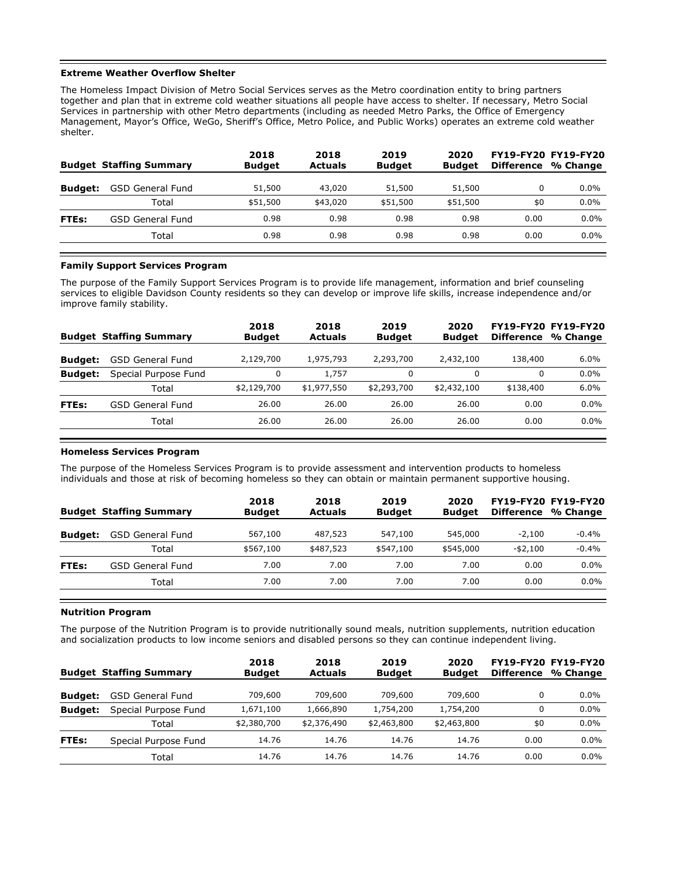#### **Extreme Weather Overflow Shelter**

The Homeless Impact Division of Metro Social Services serves as the Metro coordination entity to bring partners together and plan that in extreme cold weather situations all people have access to shelter. If necessary, Metro Social Services in partnership with other Metro departments (including as needed Metro Parks, the Office of Emergency Management, Mayor's Office, WeGo, Sheriff's Office, Metro Police, and Public Works) operates an extreme cold weather shelter.

|                | <b>Budget Staffing Summary</b> | 2018<br><b>Budget</b> | 2018<br><b>Actuals</b> | 2019<br><b>Budget</b> | 2020<br><b>Budget</b> | Difference | <b>FY19-FY20 FY19-FY20</b><br>% Change |
|----------------|--------------------------------|-----------------------|------------------------|-----------------------|-----------------------|------------|----------------------------------------|
| <b>Budget:</b> | <b>GSD General Fund</b>        | 51,500                | 43,020                 | 51,500                | 51,500                | 0          | $0.0\%$                                |
|                | Total                          | \$51,500              | \$43,020               | \$51,500              | \$51,500              | \$0        | 0.0%                                   |
| FTEs:          | GSD General Fund               | 0.98                  | 0.98                   | 0.98                  | 0.98                  | 0.00       | 0.0%                                   |
|                | Total                          | 0.98                  | 0.98                   | 0.98                  | 0.98                  | 0.00       | $0.0\%$                                |
|                |                                |                       |                        |                       |                       |            |                                        |

#### **Family Support Services Program**

The purpose of the Family Support Services Program is to provide life management, information and brief counseling services to eligible Davidson County residents so they can develop or improve life skills, increase independence and/or improve family stability.

|                | <b>Budget Staffing Summary</b> | 2018<br><b>Budget</b> | 2018<br><b>Actuals</b> | 2019<br><b>Budget</b> | 2020<br><b>Budget</b> | Difference | <b>FY19-FY20 FY19-FY20</b><br>% Change |
|----------------|--------------------------------|-----------------------|------------------------|-----------------------|-----------------------|------------|----------------------------------------|
| <b>Budget:</b> | <b>GSD General Fund</b>        | 2,129,700             | 1,975,793              | 2,293,700             | 2,432,100             | 138,400    | 6.0%                                   |
| <b>Budget:</b> | Special Purpose Fund           |                       | 1,757                  | 0                     |                       | $\Omega$   | $0.0\%$                                |
|                | Total                          | \$2,129,700           | \$1,977,550            | \$2,293,700           | \$2,432,100           | \$138,400  | 6.0%                                   |
| FTEs:          | GSD General Fund               | 26.00                 | 26.00                  | 26.00                 | 26.00                 | 0.00       | $0.0\%$                                |
|                | Total                          | 26.00                 | 26.00                  | 26.00                 | 26.00                 | 0.00       | 0.0%                                   |
|                |                                |                       |                        |                       |                       |            |                                        |

#### **Homeless Services Program**

The purpose of the Homeless Services Program is to provide assessment and intervention products to homeless individuals and those at risk of becoming homeless so they can obtain or maintain permanent supportive housing.

|                | <b>Budget Staffing Summary</b> | 2018<br><b>Budget</b> | 2018<br><b>Actuals</b> | 2019<br><b>Budget</b> | 2020<br><b>Budget</b> | <b>FY19-FY20 FY19-FY20</b><br><b>Difference</b> | % Change |
|----------------|--------------------------------|-----------------------|------------------------|-----------------------|-----------------------|-------------------------------------------------|----------|
| <b>Budget:</b> | <b>GSD General Fund</b>        | 567,100               | 487,523                | 547,100               | 545,000               | $-2.100$                                        | $-0.4%$  |
|                | Total                          | \$567,100             | \$487,523              | \$547,100             | \$545,000             | $-$ \$2,100                                     | $-0.4%$  |
| FTEs:          | <b>GSD General Fund</b>        | 7.00                  | 7.00                   | 7.00                  | 7.00                  | 0.00                                            | $0.0\%$  |
|                | Total                          | 7.00                  | 7.00                   | 7.00                  | 7.00                  | 0.00                                            | $0.0\%$  |
|                |                                |                       |                        |                       |                       |                                                 |          |

# **Nutrition Program**

The purpose of the Nutrition Program is to provide nutritionally sound meals, nutrition supplements, nutrition education and socialization products to low income seniors and disabled persons so they can continue independent living.

|                | <b>Budget Staffing Summary</b> | 2018<br><b>Budget</b> | 2018<br>Actuals | 2019<br><b>Budget</b> | 2020<br><b>Budget</b> | <b>Difference</b> | <b>FY19-FY20 FY19-FY20</b><br>% Change |
|----------------|--------------------------------|-----------------------|-----------------|-----------------------|-----------------------|-------------------|----------------------------------------|
| <b>Budget:</b> | <b>GSD General Fund</b>        | 709,600               | 709,600         | 709,600               | 709,600               | 0                 | $0.0\%$                                |
| <b>Budget:</b> | Special Purpose Fund           | 1,671,100             | 1,666,890       | 1,754,200             | 1,754,200             | 0                 | $0.0\%$                                |
|                | Total                          | \$2,380,700           | \$2,376,490     | \$2,463,800           | \$2,463,800           | \$0               | $0.0\%$                                |
| FTEs:          | Special Purpose Fund           | 14.76                 | 14.76           | 14.76                 | 14.76                 | 0.00              | $0.0\%$                                |
|                | Total                          | 14.76                 | 14.76           | 14.76                 | 14.76                 | 0.00              | $0.0\%$                                |